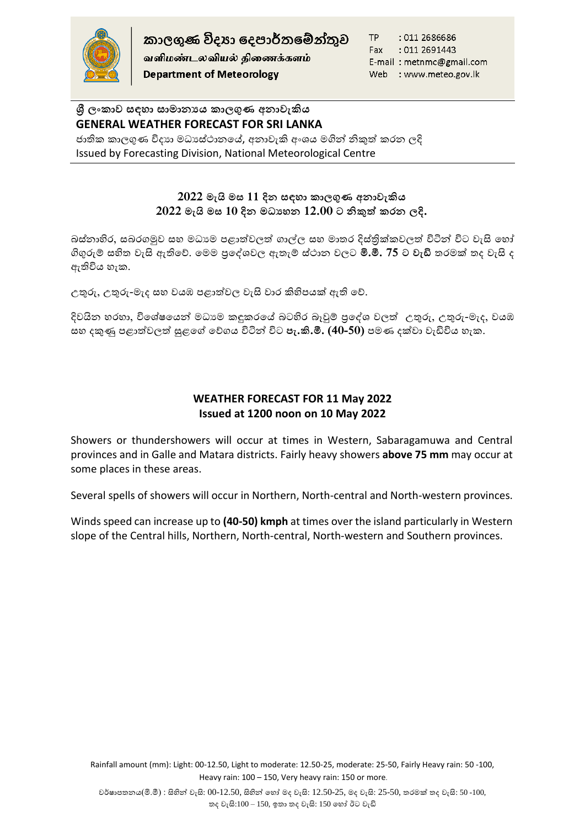

வளிமண்டலவியல் திணைக்களம் **Department of Meteorology** 

TP : 011 2686686 : 011 2691443 Fax E-mail: metnmc@gmail.com Web : www.meteo.gov.lk

# **ශ්රී ලාකාව සඳහා සාමානයය කාලගුණ අනාවැකිය GENERAL WEATHER FORECAST FOR SRI LANKA**

ජාතික කාලගුණ විදාහ මධාස්ථානයේ, අනාවැකි අංශය මගින් නිකුත් කරන ලදි Issued by Forecasting Division, National Meteorological Centre

## **2022 මැයි මස 11 දින සඳහා කාලගුණ අනාවැකිය 2022 මැයි මස 10 දින මධ්යහන 12.00 ට නිකුත් කරන ලදි.**

බස්නාහිර, සබරගමුව සහ මධාාම පළාත්වලත් ගාල්ල සහ මාතර දිස්තික්කවලත් විටින් විට වැසි හෝ ගිගුරුම් සහිත වැසි ඇතිහේ. හමම ප්රහශවවල ඇතැම් ස්ාාන වලට **මි.මී. 75 ට වැඩි** තරමක් තද වැසි ද ඇතිවිය හැක.

උතුරු, උතුරු-මැද සහ වයඹ පළාත්වල වැසි වාර කිහිපයක් ඇති වේ.

දිවයින හරහා, විශේෂයෙන් මධාාම කඳුකරයේ බටහිර බෑවුම් පුදේශ වලත් උතුරු, උතුරු-මැද, වයඹ සහ දකුණු පළාත්වලත් සුළගේ වේගය විටින් විට **පැ.කි.මී. (40-50)** පමණ දක්වා වැඩිවිය හැක.

# **WEATHER FORECAST FOR 11 May 2022 Issued at 1200 noon on 10 May 2022**

Showers or thundershowers will occur at times in Western, Sabaragamuwa and Central provinces and in Galle and Matara districts. Fairly heavy showers **above 75 mm** may occur at some places in these areas.

Several spells of showers will occur in Northern, North-central and North-western provinces.

Winds speed can increase up to **(40-50) kmph** at times over the island particularly in Western slope of the Central hills, Northern, North-central, North-western and Southern provinces.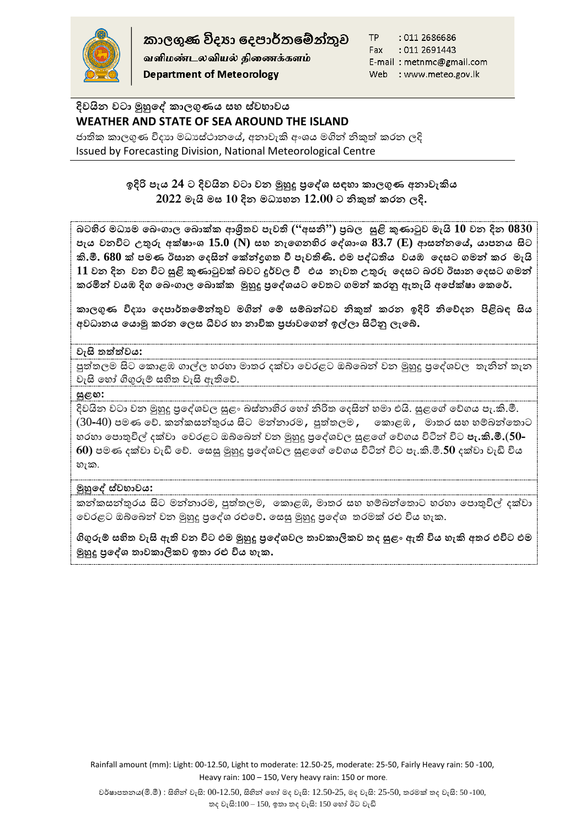

කාලගුණ විදහා දෙපාර්තමේන්තුව

வளிமண்டலவியல் திணைக்களம் **Department of Meteorology** 

TP : 011 2686686 Fax : 011 2691443 E-mail: metnmc@gmail.com Web : www.meteo.gov.lk

# **දිවයින වටා මුහුදේ කාලගුණය සහ ස්වභාවය WEATHER AND STATE OF SEA AROUND THE ISLAND**

ජාතික කාලගුණ විදාහ මධාස්ථානයේ, අනාවැකි අංශය මගින් නිකුත් කරන ලදි Issued by Forecasting Division, National Meteorological Centre

## **ඉදිරි පැය 24 ට දිවයින වටා වන මුහුදු ප්රදේශ සඳහා කාලගුණ අනාවැකිය 2022 මැයි මස 10 දින මධ්යහන 12.00 ට නිකුත් කරන ලදි.**

**බටහිර මධ්යම දබාාාල දබා්ක ශ්රිතව ව පැව ("අසනි") ප්රබල සුළි කුණාටුව මැයි 10 වන දින 0830 පැය වනවිට උතුරු අ්්ාාශ 15.0 (N) සහ නැදානහිර දේශාාශ 83.7 (E) ශසන්නදේ, යාපනය සිට කි.මී. 680 ් පමණ ඊසාන දෙසින් ද්න්රාතව ී පැව ි.. මම පේධ් ය වයඹ දෙසට ාමන් කර මැයි 11 වන දින වන විට සුළි කුණාටුව් බවට දුර්වල ී මය නැවතව උතුරු දෙසට බරව ඊසාන දෙසට ාමන්**  කරමින් වයඹ දිග බෙංගාල බොක්ක මුහුදු පු**දේශයට වෙතට ගමන් කරනු ඇතැයි අපේක්ෂා කෙරේ.** 

**කාලගුණ විෙයා දෙපාර්තව ද්න්තුව මන්න් ද් ස්බන්ධ්ව නිකුත් කරන ඉදිරි නිදනෙන පිළිබඳ සිය අවධ්ානය දයාමු කරන දලස ධීවර හා නාවික ප්රජාවදාන් ඉල්ලා සිටිු ලැදේ.**

### **වැසි තව ත්ත්වය:**

පුත්තලම සිට කොළඹ ගාල්ල හරහා මාතර දක්වා වෙරළට ඔබ්බෙන් වන මුහුදු පුදේශවල තැනින් තැන වැසි හෝ ගිගුරුම් සහිත වැසි ඇතිවේ.

#### **සුළඟ:**

දිවයින වටා වන මුහුදු පුදේශවල සුළං බස්නාහිර හෝ නිරිත දෙසින් හමා එයි. සුළගේ වේගය පැ.කි.මී. (30-40) පමණ වේ. කන්කසන්තුරය සිට මන්නාරම , පුත්තලම , කොළඹ , මාතර සහ හම්බන්තොට ර ා හපාතුවිල් දක්වා හවරළට ඔබ්හබන් වන මුහුදු ප්රහශවවල සුළහේ හේගය විටින් විට **පැ.කි.මී.**(**50- 60)** පමණ දක්වා වැඩි හේ. හසසු මුහුදු ප්රහශවවල සුළහේ හේගය විටින් විට පැ.කි.මී.**50** දක්වා වැඩි විය හැක.

### **මුහුදේ ස්වභාවය:**

කන්කසන්තුරය සිට මන්නාරම, පුත්තලම, කොළඹ, මාතර සහ හම්බන්තොට හරහා පොතුවිල් දක්වා වෙරළට ඔබ්බෙන් වන මුහුදු පුදේශ රළුවේ. සෙසු මුහුදු පුදේශ තරමක් රළු විය හැක.

ගිගුරුම් සහිත වැසි ඇති වන විට එම මුහුදු පුදේශවල තාවකාලිකව තද සුළං ඇති විය හැකි අතර එවිට එම **මුහුදු ප්රදේශ තව ාවකාිකකව ඉතව ා රු විය හැක.**